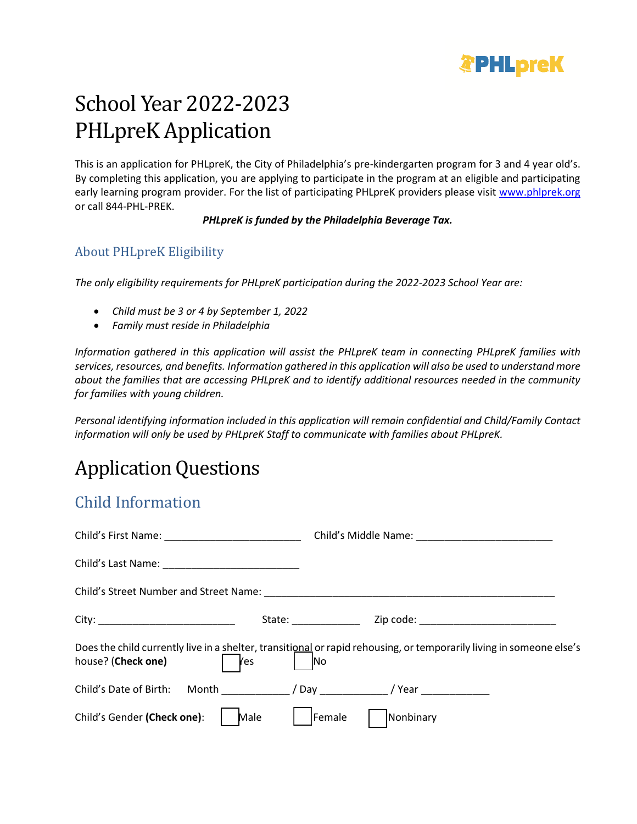

# School Year 2022-2023 PHLpreK Application

This is an application for PHLpreK, the City of Philadelphia's pre-kindergarten program for 3 and 4 year old's. By completing this application, you are applying to participate in the program at an eligible and participating early learning program provider. For the list of participating PHLpreK providers please visit [www.phlprek.org](file:///C:/Users/tmagruder/Desktop/www.phlprek.org) or call 844-PHL-PREK.

*PHLpreK is funded by the Philadelphia Beverage Tax.*

### About PHLpreK Eligibility

*The only eligibility requirements for PHLpreK participation during the 2022-2023 School Year are:*

- *Child must be 3 or 4 by September 1, 2022*
- *Family must reside in Philadelphia*

*Information gathered in this application will assist the PHLpreK team in connecting PHLpreK families with services, resources, and benefits. Information gathered in this application will also be used to understand more about the families that are accessing PHLpreK and to identify additional resources needed in the community for families with young children.*

*Personal identifying information included in this application will remain confidential and Child/Family Contact information will only be used by PHLpreK Staff to communicate with families about PHLpreK.*

# Application Questions

# Child Information

| <b>Yes</b><br>house? (Check one)                 | Does the child currently live in a shelter, transitional or rapid rehousing, or temporarily living in someone else's<br>N <sub>o</sub> |
|--------------------------------------------------|----------------------------------------------------------------------------------------------------------------------------------------|
| Child's Date of Birth: Month / Day / Year / Year |                                                                                                                                        |
| Child's Gender (Check one):<br>Male              | Nonbinary<br>Female                                                                                                                    |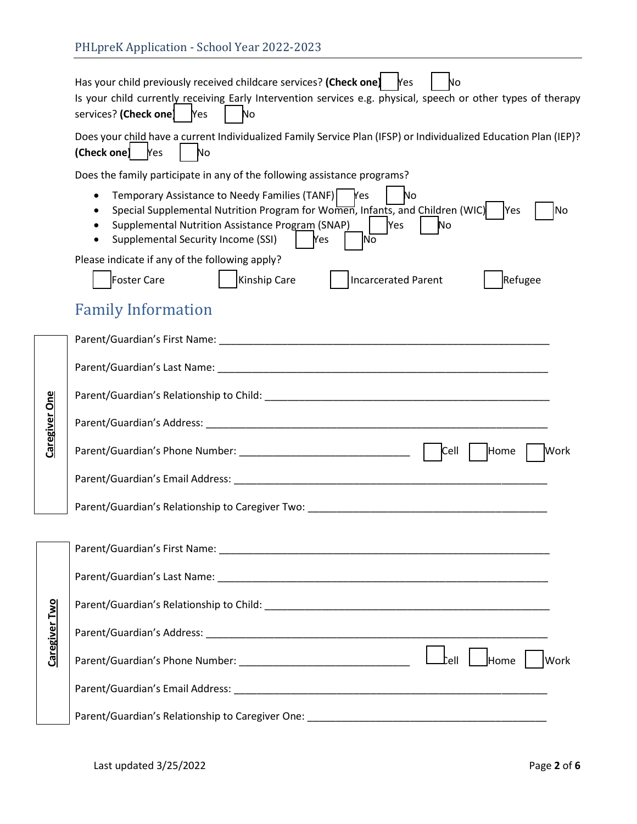|                      | Has your child previously received childcare services? (Check one) Mes<br>No<br>Is your child currently receiving Early Intervention services e.g. physical, speech or other types of therapy<br>services? (Check one) Mes<br>No                                                                                            |  |  |  |  |  |
|----------------------|-----------------------------------------------------------------------------------------------------------------------------------------------------------------------------------------------------------------------------------------------------------------------------------------------------------------------------|--|--|--|--|--|
|                      | Does your child have a current Individualized Family Service Plan (IFSP) or Individualized Education Plan (IEP)?<br>$[Check one]$ $[Yes]$<br>No                                                                                                                                                                             |  |  |  |  |  |
|                      | Does the family participate in any of the following assistance programs?                                                                                                                                                                                                                                                    |  |  |  |  |  |
|                      | Temporary Assistance to Needy Families (TANF)   Yes<br>No<br>$\bullet$<br>Special Supplemental Nutrition Program for Women, Infants, and Children (WIC)<br><b>Yes</b><br>No<br>$\bullet$<br>Supplemental Nutrition Assistance Program (SNAP)<br><b>Yes</b><br>No<br>Supplemental Security Income (SSI)<br><b>Yes</b><br>lNo |  |  |  |  |  |
|                      | Please indicate if any of the following apply?                                                                                                                                                                                                                                                                              |  |  |  |  |  |
|                      | Kinship Care<br>Foster Care<br><b>Incarcerated Parent</b><br>Refugee                                                                                                                                                                                                                                                        |  |  |  |  |  |
|                      | <b>Family Information</b>                                                                                                                                                                                                                                                                                                   |  |  |  |  |  |
|                      |                                                                                                                                                                                                                                                                                                                             |  |  |  |  |  |
|                      |                                                                                                                                                                                                                                                                                                                             |  |  |  |  |  |
|                      |                                                                                                                                                                                                                                                                                                                             |  |  |  |  |  |
| Caregiver One        |                                                                                                                                                                                                                                                                                                                             |  |  |  |  |  |
|                      | Cell<br>Home<br><b>Work</b>                                                                                                                                                                                                                                                                                                 |  |  |  |  |  |
|                      |                                                                                                                                                                                                                                                                                                                             |  |  |  |  |  |
|                      | Parent/Guardian's Relationship to Caregiver Two: Network and Caregian and Caregian and Caregian and Caregian and Caregian and Caregian and Caregian and Caregian and Caregian and Caregian and Caregian and Caregian and Careg                                                                                              |  |  |  |  |  |
|                      |                                                                                                                                                                                                                                                                                                                             |  |  |  |  |  |
|                      |                                                                                                                                                                                                                                                                                                                             |  |  |  |  |  |
|                      |                                                                                                                                                                                                                                                                                                                             |  |  |  |  |  |
| <b>Caregiver Two</b> |                                                                                                                                                                                                                                                                                                                             |  |  |  |  |  |
|                      | Work                                                                                                                                                                                                                                                                                                                        |  |  |  |  |  |
|                      |                                                                                                                                                                                                                                                                                                                             |  |  |  |  |  |
|                      |                                                                                                                                                                                                                                                                                                                             |  |  |  |  |  |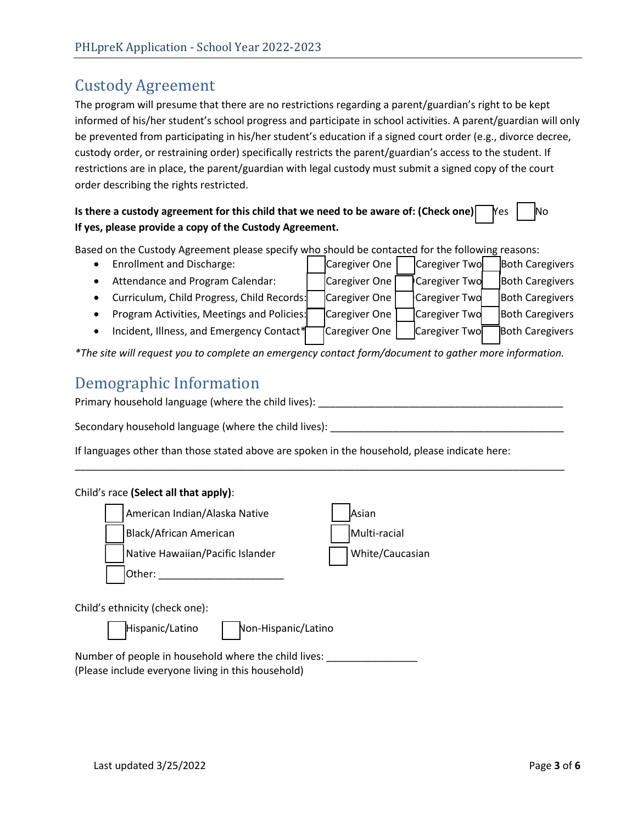# Custody Agreement

The program will presume that there are no restrictions regarding a parent/guardian's right to be kept informed of his/her student's school progress and participate in school activities. A parent/guardian will only be prevented from participating in his/her student's education if a signed court order (e.g., divorce decree, custody order, or restraining order) specifically restricts the parent/guardian's access to the student. If restrictions are in place, the parent/guardian with legal custody must submit a signed copy of the court order describing the rights restricted.

### **Is there a custody agreement for this child that we need to be aware of: (Check one)**  $\begin{bmatrix} \gamma_{\text{es}} & \gamma_{\text{so}} \\ \gamma_{\text{so}} & \gamma_{\text{so}} \end{bmatrix}$ **If yes, please provide a copy of the Custody Agreement.**

Based on the Custody Agreement please specify who should be contacted for the following reasons:

• Enrollment and Discharge: Caregiver One Caregiver Two Both Caregivers • Attendance and Program Calendar: Caregiver One Caregiver Two Both Caregivers • Curriculum, Child Progress, Child Records: Caregiver One Caregiver Two Both Caregivers • Program Activities, Meetings and Policies: Caregiver One | Caregiver Two | Both Caregivers • Incident, Illness, and Emergency Contact $\frac{1}{2}$  Caregiver One Caregiver Two Both Caregivers

*\*The site will request you to complete an emergency contact form/document to gather more information.* 

## Demographic Information

Primary household language (where the child lives): \_\_\_\_\_\_\_\_\_\_\_\_\_\_\_\_\_\_\_\_\_\_\_\_\_\_\_\_

\_\_\_\_\_\_\_\_\_\_\_\_\_\_\_\_\_\_\_\_\_\_\_\_\_\_\_\_\_\_\_\_\_\_\_\_\_\_\_\_\_\_\_\_\_\_\_\_\_\_\_\_\_\_\_\_\_\_\_\_\_\_\_\_\_\_\_\_\_\_\_\_\_\_\_\_\_\_\_\_\_\_\_\_\_\_

Secondary household language (where the child lives):

If languages other than those stated above are spoken in the household, please indicate here:

#### Child's race **(Select all that apply)**:



Number of people in household where the child lives: (Please include everyone living in this household)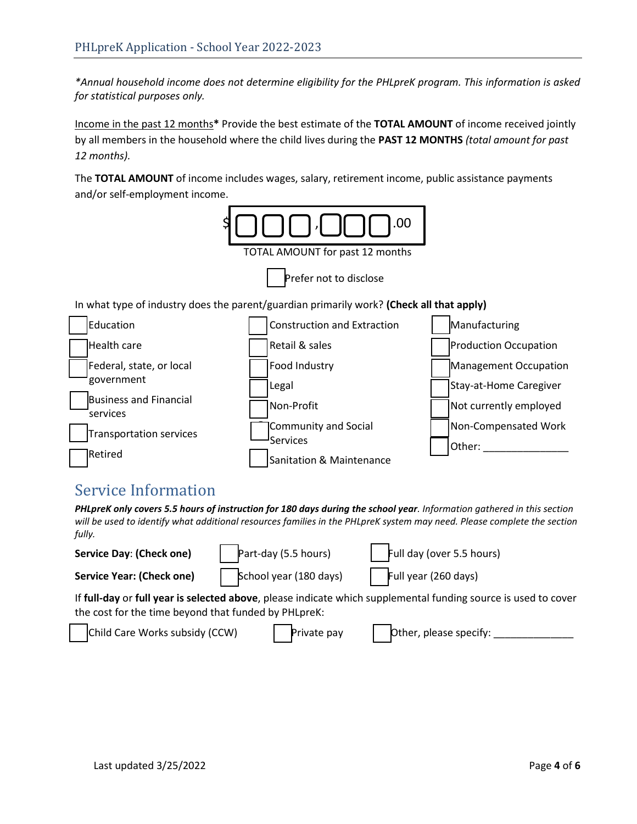*\*Annual household income does not determine eligibility for the PHLpreK program. This information is asked for statistical purposes only.*

Income in the past 12 months**\*** Provide the best estimate of the **TOTAL AMOUNT** of income received jointly by all members in the household where the child lives during the **PAST 12 MONTHS** *(total amount for past 12 months).* 

The **TOTAL AMOUNT** of income includes wages, salary, retirement income, public assistance payments and/or self-employment income.



## Service Information

*PHLpreK only covers 5.5 hours of instruction for 180 days during the school year. Information gathered in this section will be used to identify what additional resources families in the PHLpreK system may need. Please complete the section fully.*

| <b>Service Day: (Check one)</b>                                                                                                                                        | Part-day (5.5 hours)   | Full day (over 5.5 hours) |  |  |
|------------------------------------------------------------------------------------------------------------------------------------------------------------------------|------------------------|---------------------------|--|--|
| <b>Service Year: (Check one)</b>                                                                                                                                       | School year (180 days) | Full year (260 days)      |  |  |
| If full-day or full year is selected above, please indicate which supplemental funding source is used to cover<br>the cost for the time beyond that funded by PHLpreK: |                        |                           |  |  |
| Child Care Works subsidy (CCW)                                                                                                                                         | Private pay            | Other, please specify:    |  |  |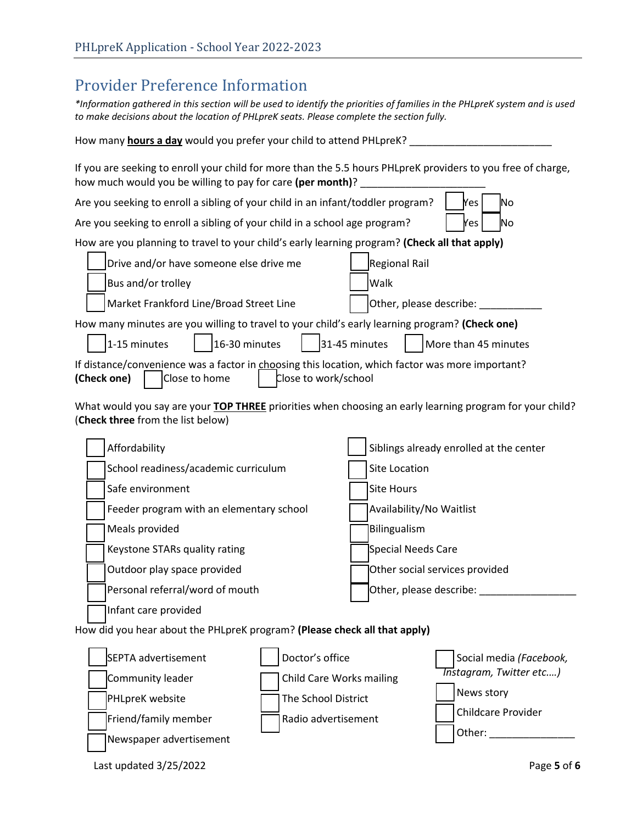## Provider Preference Information

*\*Information gathered in this section will be used to identify the priorities of families in the PHLpreK system and is used to make decisions about the location of PHLpreK seats. Please complete the section fully.*

| How many <b>hours a day</b> would you prefer your child to attend PHLpreK?                                                                                                 |                                         |  |  |  |  |
|----------------------------------------------------------------------------------------------------------------------------------------------------------------------------|-----------------------------------------|--|--|--|--|
| If you are seeking to enroll your child for more than the 5.5 hours PHLpreK providers to you free of charge,<br>how much would you be willing to pay for care (per month)? |                                         |  |  |  |  |
| Are you seeking to enroll a sibling of your child in an infant/toddler program?<br>lNo<br>Yes                                                                              |                                         |  |  |  |  |
| Are you seeking to enroll a sibling of your child in a school age program?<br>lNo<br>Yes                                                                                   |                                         |  |  |  |  |
| How are you planning to travel to your child's early learning program? (Check all that apply)                                                                              |                                         |  |  |  |  |
| Drive and/or have someone else drive me                                                                                                                                    | Regional Rail                           |  |  |  |  |
| Bus and/or trolley                                                                                                                                                         | Walk                                    |  |  |  |  |
| Market Frankford Line/Broad Street Line                                                                                                                                    | Other, please describe: ____            |  |  |  |  |
| How many minutes are you willing to travel to your child's early learning program? (Check one)                                                                             |                                         |  |  |  |  |
| 31-45 minutes<br>16-30 minutes<br>1-15 minutes<br>More than 45 minutes                                                                                                     |                                         |  |  |  |  |
| If distance/convenience was a factor in choosing this location, which factor was more important?<br>(Check one)<br>Close to home<br>Close to work/school                   |                                         |  |  |  |  |
| What would you say are your TOP THREE priorities when choosing an early learning program for your child?<br>(Check three from the list below)                              |                                         |  |  |  |  |
| Affordability                                                                                                                                                              | Siblings already enrolled at the center |  |  |  |  |
| School readiness/academic curriculum                                                                                                                                       | Site Location                           |  |  |  |  |
| Safe environment                                                                                                                                                           | <b>Site Hours</b>                       |  |  |  |  |
| Feeder program with an elementary school                                                                                                                                   | Availability/No Waitlist                |  |  |  |  |
| Meals provided                                                                                                                                                             | <b>Bilingualism</b>                     |  |  |  |  |
| Keystone STARs quality rating                                                                                                                                              | Special Needs Care                      |  |  |  |  |
| Outdoor play space provided                                                                                                                                                | Other social services provided          |  |  |  |  |

Infant care provided

Personal referral/word of mouth

 Other social services provided Other, please describe: \_\_\_\_\_\_\_\_\_\_\_\_\_\_\_\_\_

#### How did you hear about the PHLpreK program? **(Please check all that apply)**

| SEPTA advertisement     | Doctor's office                 | Social media (Facebook,             |
|-------------------------|---------------------------------|-------------------------------------|
| Community leader        | <b>Child Care Works mailing</b> | Tnstagram, Twitter etc)             |
| <b>PHLpreK</b> website  | The School District             | News story                          |
| Friend/family member    | Radio advertisement             | <b>Childcare Provider</b><br>Other: |
| Newspaper advertisement |                                 |                                     |

Last updated 3/25/2022 Page **5** of **6**